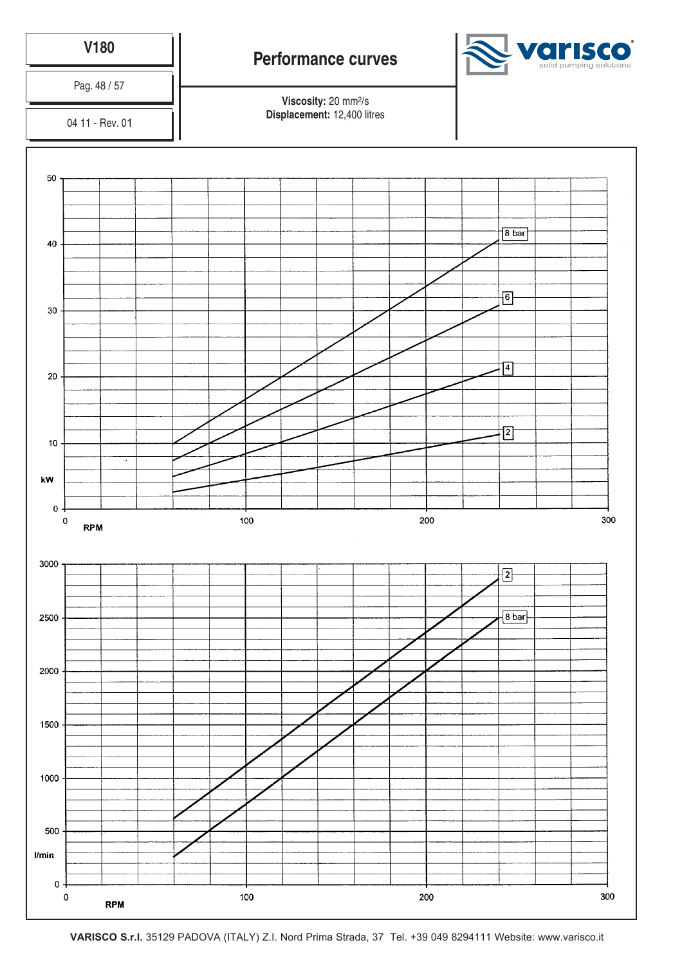

**VARISCO S.r.l.** 35129 PADOVA (ITALY) Z.I. Nord Prima Strada, 37 Tel. +39 049 8294111 Website: www.varisco.it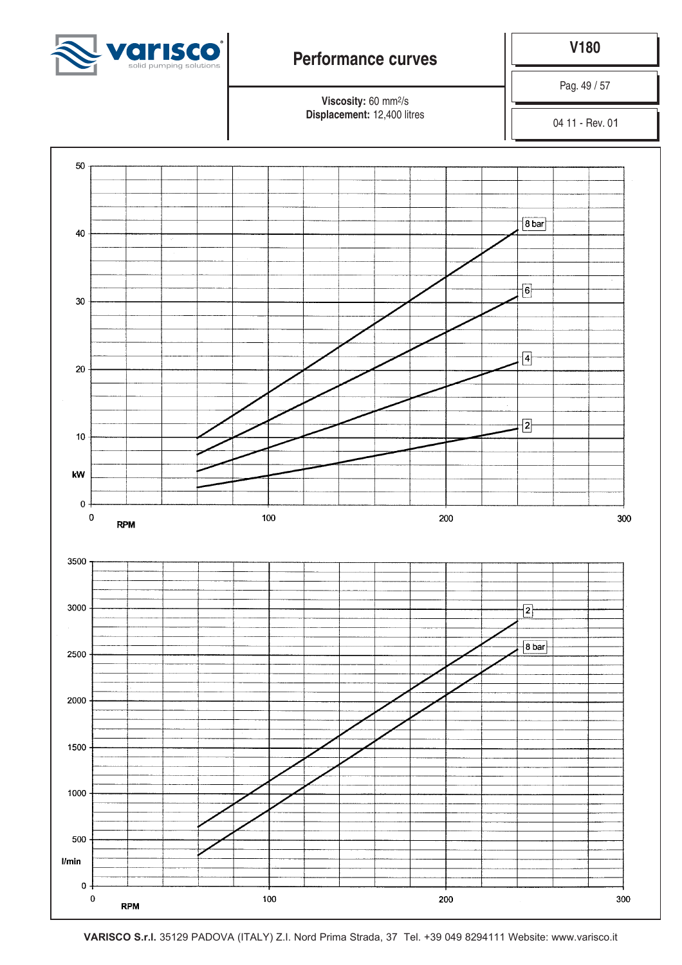

**V180**

Pag. 49 / 57

**Viscosity:** 60 mm2/s **Displacement:** 12,400 litres

04 11 - Rev. 01



**VARISCO S.r.l.** 35129 PADOVA (ITALY) Z.I. Nord Prima Strada, 37 Tel. +39 049 8294111 Website: www.varisco.it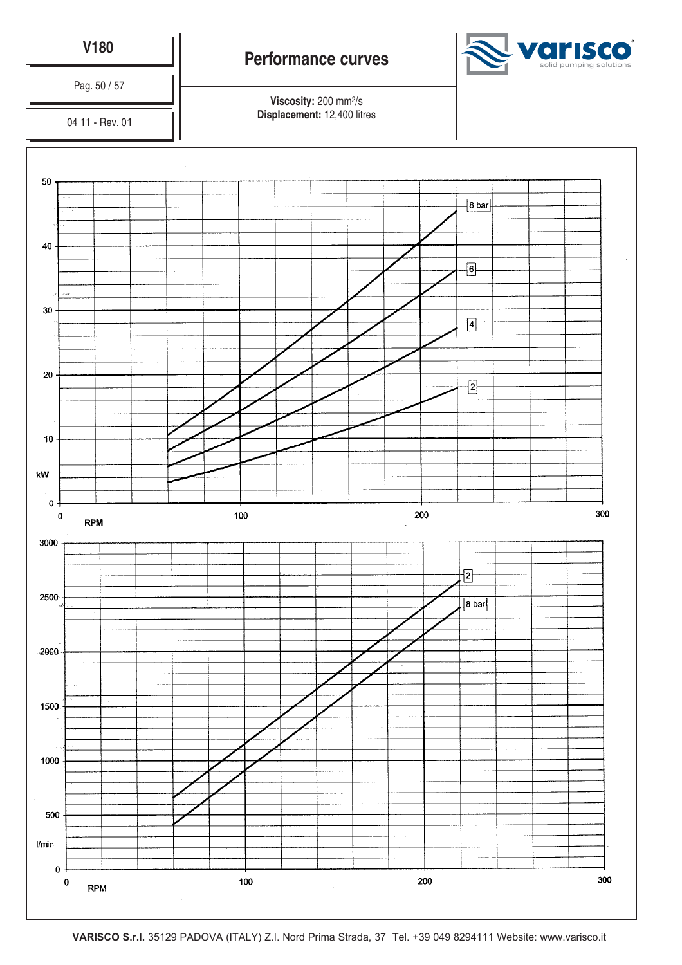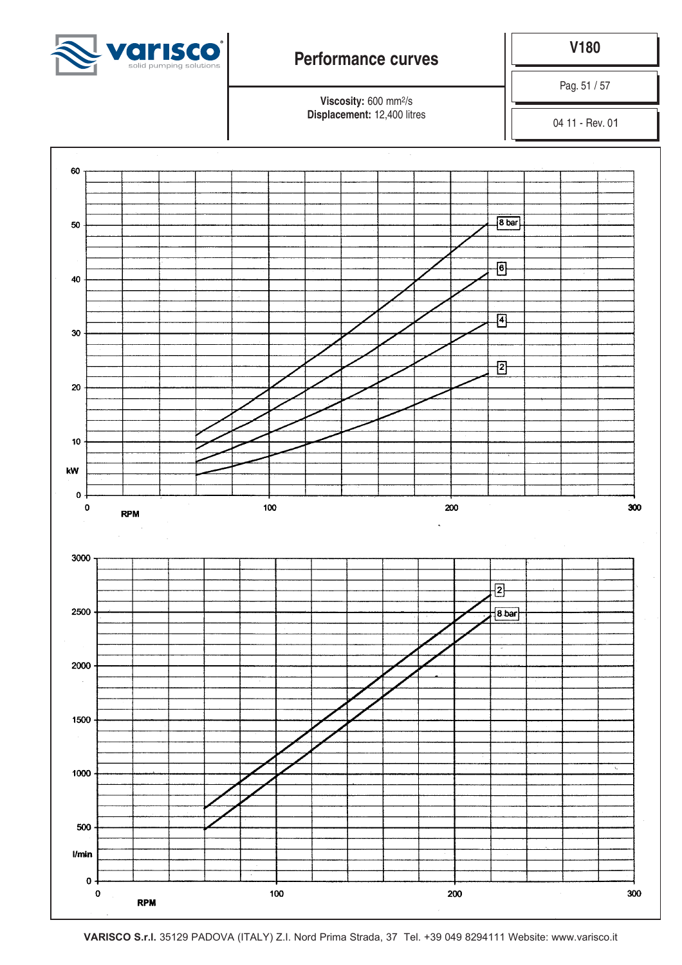

**V180**

Pag. 51 / 57

**Viscosity:** 600 mm2/s **Displacement:** 12,400 litres

04 11 - Rev. 01

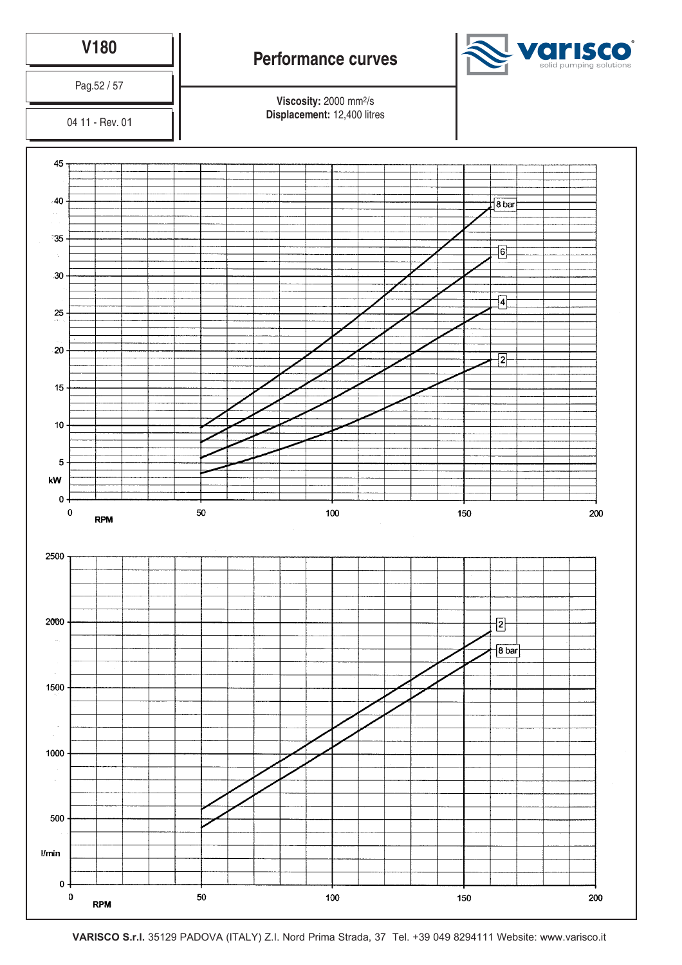

**VARISCO S.r.l.** 35129 PADOVA (ITALY) Z.I. Nord Prima Strada, 37 Tel. +39 049 8294111 Website: www.varisco.it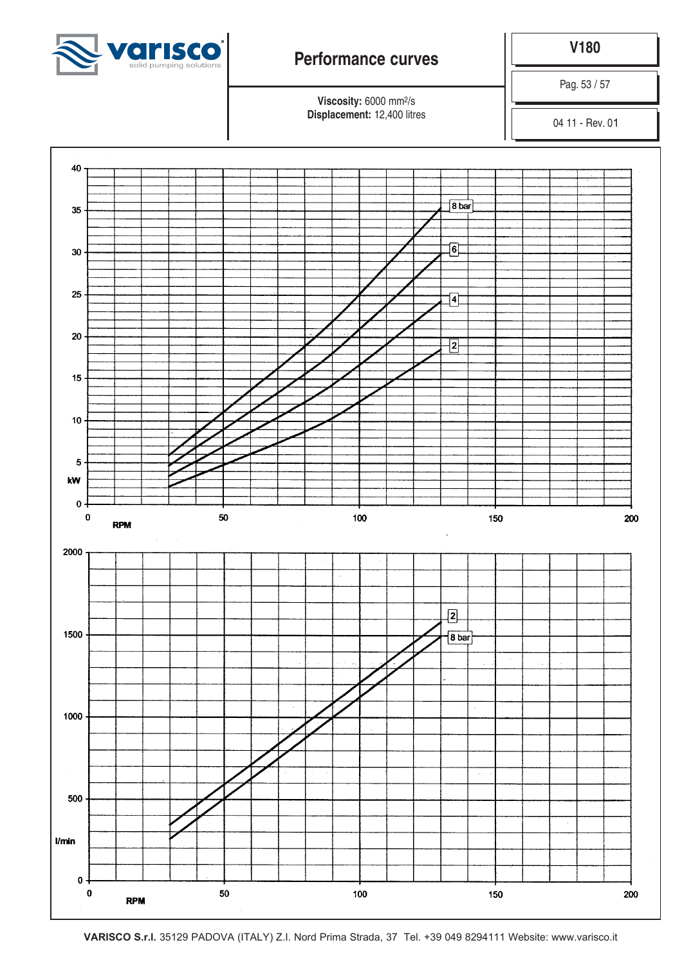

**V180**

Pag. 53 / 57

**Viscosity:** 6000 mm2/s **Displacement:** 12,400 litres

04 11 - Rev. 01

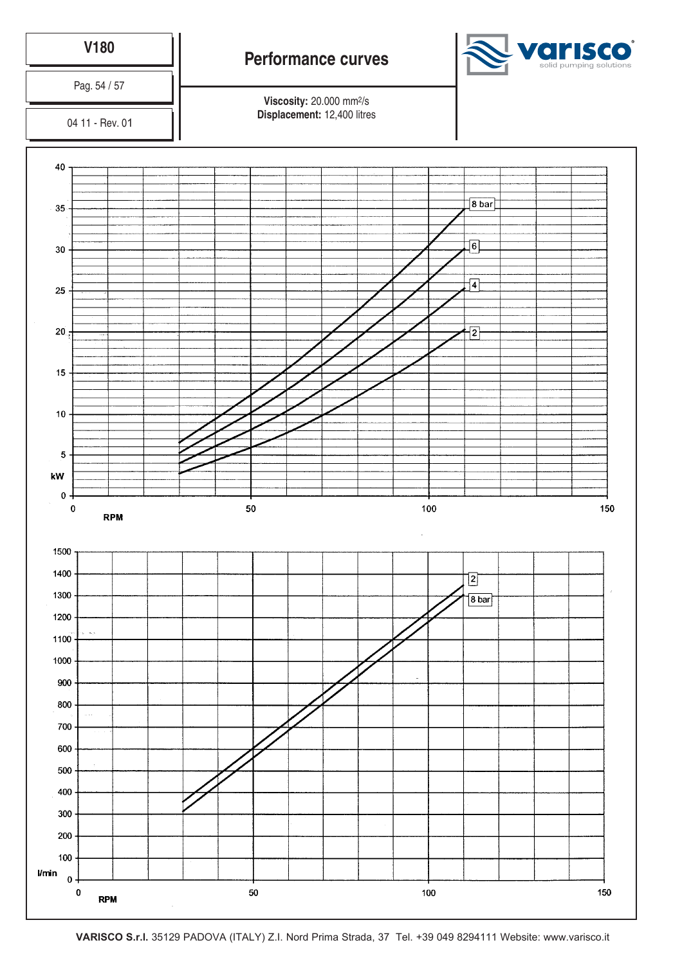